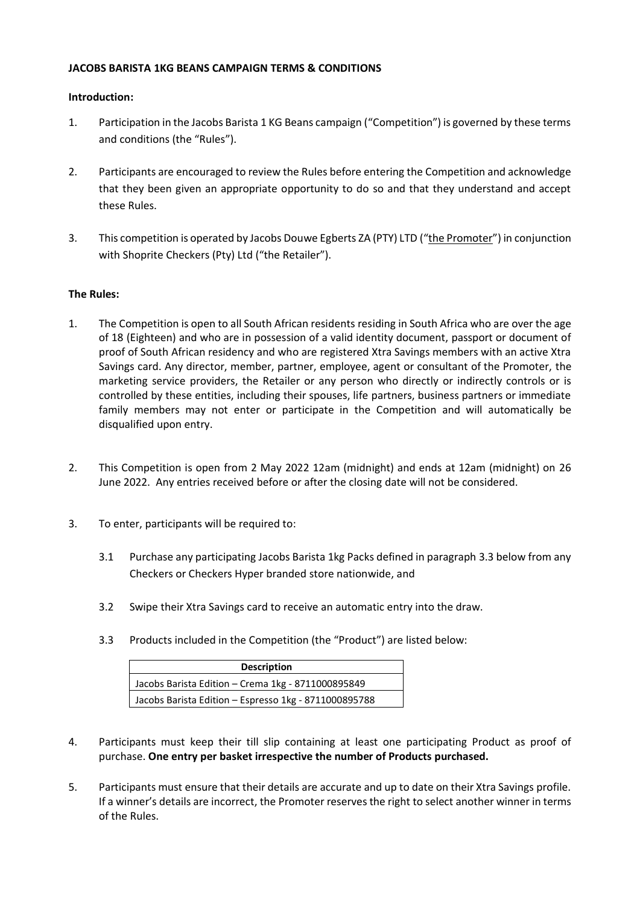## **JACOBS BARISTA 1KG BEANS CAMPAIGN TERMS & CONDITIONS**

## **Introduction:**

- 1. Participation in the Jacobs Barista 1 KG Beans campaign ("Competition") is governed by these terms and conditions (the "Rules").
- 2. Participants are encouraged to review the Rules before entering the Competition and acknowledge that they been given an appropriate opportunity to do so and that they understand and accept these Rules.
- 3. This competition is operated by Jacobs Douwe Egberts ZA (PTY) LTD ("the Promoter") in conjunction with Shoprite Checkers (Pty) Ltd ("the Retailer").

## **The Rules:**

- 1. The Competition is open to all South African residents residing in South Africa who are over the age of 18 (Eighteen) and who are in possession of a valid identity document, passport or document of proof of South African residency and who are registered Xtra Savings members with an active Xtra Savings card. Any director, member, partner, employee, agent or consultant of the Promoter, the marketing service providers, the Retailer or any person who directly or indirectly controls or is controlled by these entities, including their spouses, life partners, business partners or immediate family members may not enter or participate in the Competition and will automatically be disqualified upon entry.
- 2. This Competition is open from 2 May 2022 12am (midnight) and ends at 12am (midnight) on 26 June 2022. Any entries received before or after the closing date will not be considered.
- 3. To enter, participants will be required to:
	- 3.1 Purchase any participating Jacobs Barista 1kg Packs defined in paragraph 3.3 below from any Checkers or Checkers Hyper branded store nationwide, and
	- 3.2 Swipe their Xtra Savings card to receive an automatic entry into the draw.
	- 3.3 Products included in the Competition (the "Product") are listed below:

| <b>Description</b>                                    |
|-------------------------------------------------------|
| Jacobs Barista Edition - Crema 1kg - 8711000895849    |
| Jacobs Barista Edition - Espresso 1kg - 8711000895788 |

- 4. Participants must keep their till slip containing at least one participating Product as proof of purchase. **One entry per basket irrespective the number of Products purchased.**
- 5. Participants must ensure that their details are accurate and up to date on their Xtra Savings profile. If a winner's details are incorrect, the Promoter reserves the right to select another winner in terms of the Rules.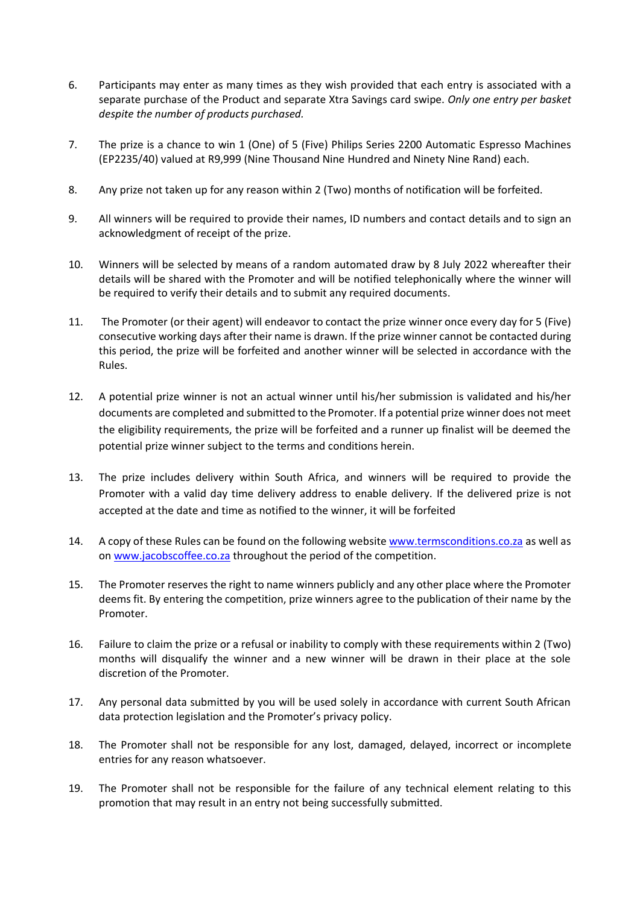- 6. Participants may enter as many times as they wish provided that each entry is associated with a separate purchase of the Product and separate Xtra Savings card swipe. *Only one entry per basket despite the number of products purchased.*
- 7. The prize is a chance to win 1 (One) of 5 (Five) Philips Series 2200 Automatic Espresso Machines (EP2235/40) valued at R9,999 (Nine Thousand Nine Hundred and Ninety Nine Rand) each.
- 8. Any prize not taken up for any reason within 2 (Two) months of notification will be forfeited.
- 9. All winners will be required to provide their names, ID numbers and contact details and to sign an acknowledgment of receipt of the prize.
- 10. Winners will be selected by means of a random automated draw by 8 July 2022 whereafter their details will be shared with the Promoter and will be notified telephonically where the winner will be required to verify their details and to submit any required documents.
- 11. The Promoter (or their agent) will endeavor to contact the prize winner once every day for 5 (Five) consecutive working days after their name is drawn. If the prize winner cannot be contacted during this period, the prize will be forfeited and another winner will be selected in accordance with the Rules.
- 12. A potential prize winner is not an actual winner until his/her submission is validated and his/her documents are completed and submitted to the Promoter. If a potential prize winner does not meet the eligibility requirements, the prize will be forfeited and a runner up finalist will be deemed the potential prize winner subject to the terms and conditions herein.
- 13. The prize includes delivery within South Africa, and winners will be required to provide the Promoter with a valid day time delivery address to enable delivery. If the delivered prize is not accepted at the date and time as notified to the winner, it will be forfeited
- 14. A copy of these Rules can be found on the following website [www.termsconditions.co.za](http://www.termsconditions.co.za/) as well as on [www.jacobscoffee.co.za](http://www.jacobscoffee.co.za/) throughout the period of the competition.
- 15. The Promoter reserves the right to name winners publicly and any other place where the Promoter deems fit. By entering the competition, prize winners agree to the publication of their name by the Promoter.
- 16. Failure to claim the prize or a refusal or inability to comply with these requirements within 2 (Two) months will disqualify the winner and a new winner will be drawn in their place at the sole discretion of the Promoter.
- 17. Any personal data submitted by you will be used solely in accordance with current South African data protection legislation and the Promoter's privacy policy.
- 18. The Promoter shall not be responsible for any lost, damaged, delayed, incorrect or incomplete entries for any reason whatsoever.
- 19. The Promoter shall not be responsible for the failure of any technical element relating to this promotion that may result in an entry not being successfully submitted.